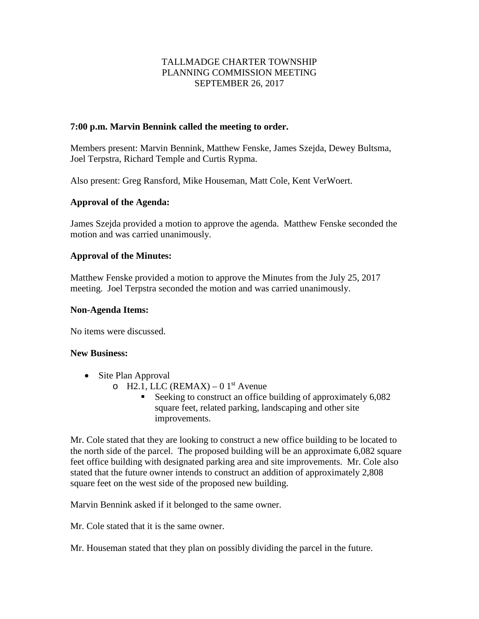# TALLMADGE CHARTER TOWNSHIP PLANNING COMMISSION MEETING SEPTEMBER 26, 2017

#### **7:00 p.m. Marvin Bennink called the meeting to order.**

Members present: Marvin Bennink, Matthew Fenske, James Szejda, Dewey Bultsma, Joel Terpstra, Richard Temple and Curtis Rypma.

Also present: Greg Ransford, Mike Houseman, Matt Cole, Kent VerWoert.

## **Approval of the Agenda:**

James Szejda provided a motion to approve the agenda. Matthew Fenske seconded the motion and was carried unanimously.

## **Approval of the Minutes:**

Matthew Fenske provided a motion to approve the Minutes from the July 25, 2017 meeting. Joel Terpstra seconded the motion and was carried unanimously.

#### **Non-Agenda Items:**

No items were discussed.

#### **New Business:**

- Site Plan Approval
	- o H2.1, LLC (REMAX) 0  $1<sup>st</sup>$  Avenue
		- Seeking to construct an office building of approximately 6,082 square feet, related parking, landscaping and other site improvements.

Mr. Cole stated that they are looking to construct a new office building to be located to the north side of the parcel. The proposed building will be an approximate 6,082 square feet office building with designated parking area and site improvements. Mr. Cole also stated that the future owner intends to construct an addition of approximately 2,808 square feet on the west side of the proposed new building.

Marvin Bennink asked if it belonged to the same owner.

Mr. Cole stated that it is the same owner.

Mr. Houseman stated that they plan on possibly dividing the parcel in the future.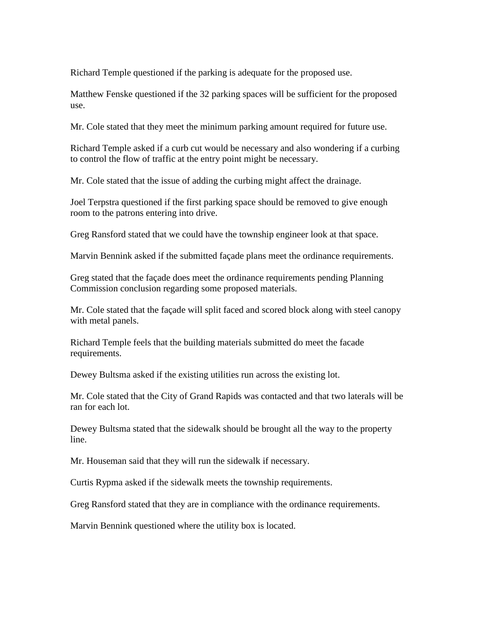Richard Temple questioned if the parking is adequate for the proposed use.

Matthew Fenske questioned if the 32 parking spaces will be sufficient for the proposed use.

Mr. Cole stated that they meet the minimum parking amount required for future use.

Richard Temple asked if a curb cut would be necessary and also wondering if a curbing to control the flow of traffic at the entry point might be necessary.

Mr. Cole stated that the issue of adding the curbing might affect the drainage.

Joel Terpstra questioned if the first parking space should be removed to give enough room to the patrons entering into drive.

Greg Ransford stated that we could have the township engineer look at that space.

Marvin Bennink asked if the submitted façade plans meet the ordinance requirements.

Greg stated that the façade does meet the ordinance requirements pending Planning Commission conclusion regarding some proposed materials.

Mr. Cole stated that the façade will split faced and scored block along with steel canopy with metal panels.

Richard Temple feels that the building materials submitted do meet the facade requirements.

Dewey Bultsma asked if the existing utilities run across the existing lot.

Mr. Cole stated that the City of Grand Rapids was contacted and that two laterals will be ran for each lot.

Dewey Bultsma stated that the sidewalk should be brought all the way to the property line.

Mr. Houseman said that they will run the sidewalk if necessary.

Curtis Rypma asked if the sidewalk meets the township requirements.

Greg Ransford stated that they are in compliance with the ordinance requirements.

Marvin Bennink questioned where the utility box is located.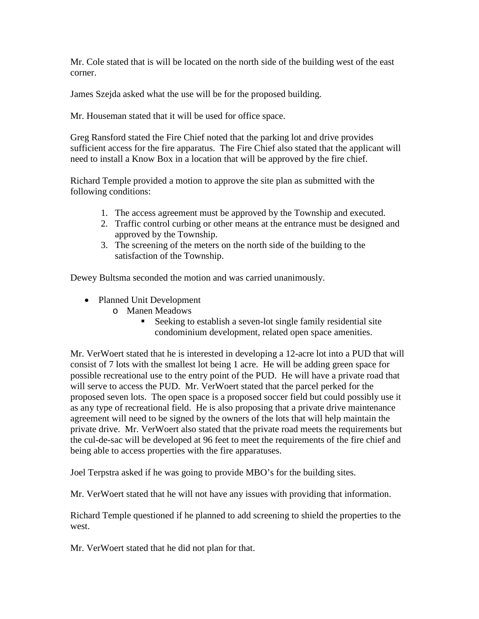Mr. Cole stated that is will be located on the north side of the building west of the east corner.

James Szejda asked what the use will be for the proposed building.

Mr. Houseman stated that it will be used for office space.

Greg Ransford stated the Fire Chief noted that the parking lot and drive provides sufficient access for the fire apparatus. The Fire Chief also stated that the applicant will need to install a Know Box in a location that will be approved by the fire chief.

Richard Temple provided a motion to approve the site plan as submitted with the following conditions:

- 1. The access agreement must be approved by the Township and executed.
- 2. Traffic control curbing or other means at the entrance must be designed and approved by the Township.
- 3. The screening of the meters on the north side of the building to the satisfaction of the Township.

Dewey Bultsma seconded the motion and was carried unanimously.

- Planned Unit Development
	- o Manen Meadows
		- Seeking to establish a seven-lot single family residential site condominium development, related open space amenities.

Mr. VerWoert stated that he is interested in developing a 12-acre lot into a PUD that will consist of 7 lots with the smallest lot being 1 acre. He will be adding green space for possible recreational use to the entry point of the PUD. He will have a private road that will serve to access the PUD. Mr. VerWoert stated that the parcel perked for the proposed seven lots. The open space is a proposed soccer field but could possibly use it as any type of recreational field. He is also proposing that a private drive maintenance agreement will need to be signed by the owners of the lots that will help maintain the private drive. Mr. VerWoert also stated that the private road meets the requirements but the cul-de-sac will be developed at 96 feet to meet the requirements of the fire chief and being able to access properties with the fire apparatuses.

Joel Terpstra asked if he was going to provide MBO's for the building sites.

Mr. VerWoert stated that he will not have any issues with providing that information.

Richard Temple questioned if he planned to add screening to shield the properties to the west.

Mr. VerWoert stated that he did not plan for that.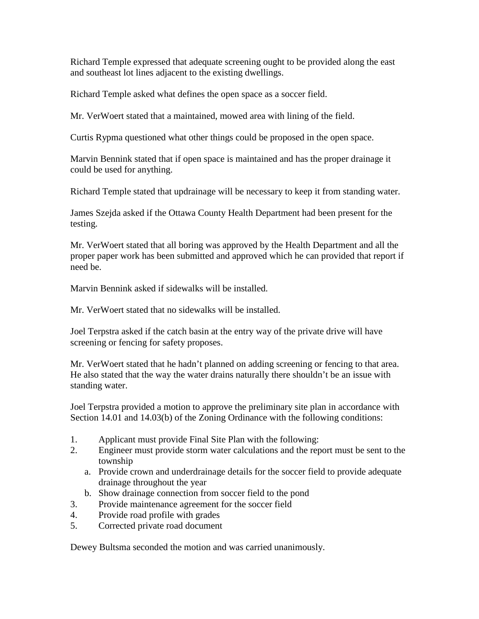Richard Temple expressed that adequate screening ought to be provided along the east and southeast lot lines adjacent to the existing dwellings.

Richard Temple asked what defines the open space as a soccer field.

Mr. VerWoert stated that a maintained, mowed area with lining of the field.

Curtis Rypma questioned what other things could be proposed in the open space.

Marvin Bennink stated that if open space is maintained and has the proper drainage it could be used for anything.

Richard Temple stated that updrainage will be necessary to keep it from standing water.

James Szejda asked if the Ottawa County Health Department had been present for the testing.

Mr. VerWoert stated that all boring was approved by the Health Department and all the proper paper work has been submitted and approved which he can provided that report if need be.

Marvin Bennink asked if sidewalks will be installed.

Mr. VerWoert stated that no sidewalks will be installed.

Joel Terpstra asked if the catch basin at the entry way of the private drive will have screening or fencing for safety proposes.

Mr. VerWoert stated that he hadn't planned on adding screening or fencing to that area. He also stated that the way the water drains naturally there shouldn't be an issue with standing water.

Joel Terpstra provided a motion to approve the preliminary site plan in accordance with Section 14.01 and 14.03(b) of the Zoning Ordinance with the following conditions:

- 1. Applicant must provide Final Site Plan with the following:
- 2. Engineer must provide storm water calculations and the report must be sent to the township
	- a. Provide crown and underdrainage details for the soccer field to provide adequate drainage throughout the year
	- b. Show drainage connection from soccer field to the pond
- 3. Provide maintenance agreement for the soccer field
- 4. Provide road profile with grades
- 5. Corrected private road document

Dewey Bultsma seconded the motion and was carried unanimously.